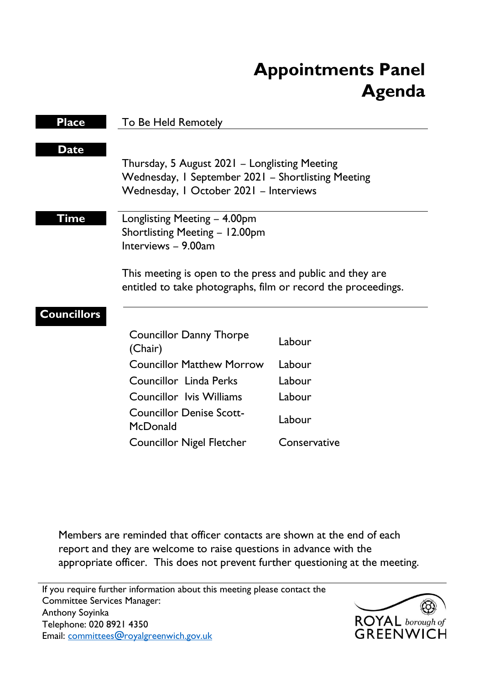# **Appointments Panel Agenda**

| <b>Place</b>       | <b>To Be Held Remotely</b>                                                                                                                    |              |
|--------------------|-----------------------------------------------------------------------------------------------------------------------------------------------|--------------|
| <b>Date</b>        | Thursday, 5 August 2021 – Longlisting Meeting<br>Wednesday, I September 2021 - Shortlisting Meeting<br>Wednesday, I October 2021 - Interviews |              |
| Time               | Longlisting Meeting - 4.00pm<br>Shortlisting Meeting - 12.00pm<br>Interviews - 9.00am                                                         |              |
|                    | This meeting is open to the press and public and they are<br>entitled to take photographs, film or record the proceedings.                    |              |
| <b>Councillors</b> | <b>Councillor Danny Thorpe</b><br>(Chair)                                                                                                     | Labour       |
|                    | <b>Councillor Matthew Morrow</b>                                                                                                              | Labour       |
|                    | <b>Councillor Linda Perks</b>                                                                                                                 | Labour       |
|                    | <b>Councillor Ivis Williams</b>                                                                                                               | Labour       |
|                    | <b>Councillor Denise Scott-</b><br>McDonald                                                                                                   | Labour       |
|                    | <b>Councillor Nigel Fletcher</b>                                                                                                              | Conservative |
|                    |                                                                                                                                               |              |

Members are reminded that officer contacts are shown at the end of each report and they are welcome to raise questions in advance with the appropriate officer. This does not prevent further questioning at the meeting.

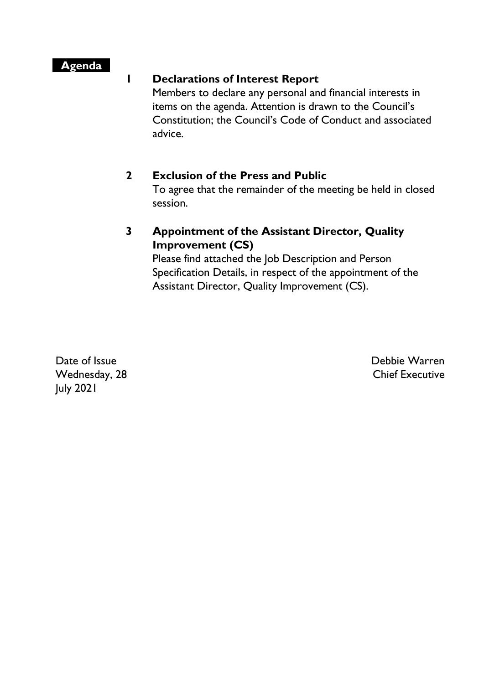### **Agenda**

### **1 Declarations of Interest Report**

Members to declare any personal and financial interests in items on the agenda. Attention is drawn to the Council's Constitution; the Council's Code of Conduct and associated advice.

### **2 Exclusion of the Press and Public**

To agree that the remainder of the meeting be held in closed session.

## **3 Appointment of the Assistant Director, Quality Improvement (CS)**

Please find attached the Job Description and Person Specification Details, in respect of the appointment of the Assistant Director, Quality Improvement (CS).

Date of Issue Wednesday, 28 July 2021

Debbie Warren Chief Executive